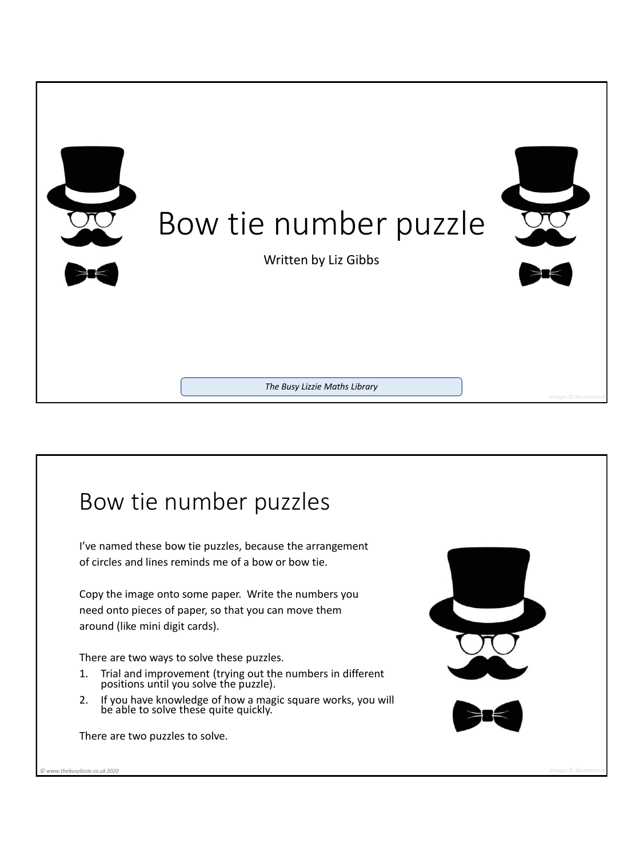

## Bow tie number puzzles I've named these bow tie puzzles, because the arrangement of circles and lines reminds me of a bow or bow tie. Copy the image onto some paper. Write the numbers you need onto pieces of paper, so that you can move them around (like mini digit cards). There are two ways to solve these puzzles. 1. Trial and improvement (trying out the numbers in different positions until you solve the puzzle). 2. If you have knowledge of how a magic square works, you will be able to solve these quite quickly. There are two puzzles to solve. *© www.thebusylizzie.co.uk 2020 Images © Shutterstock*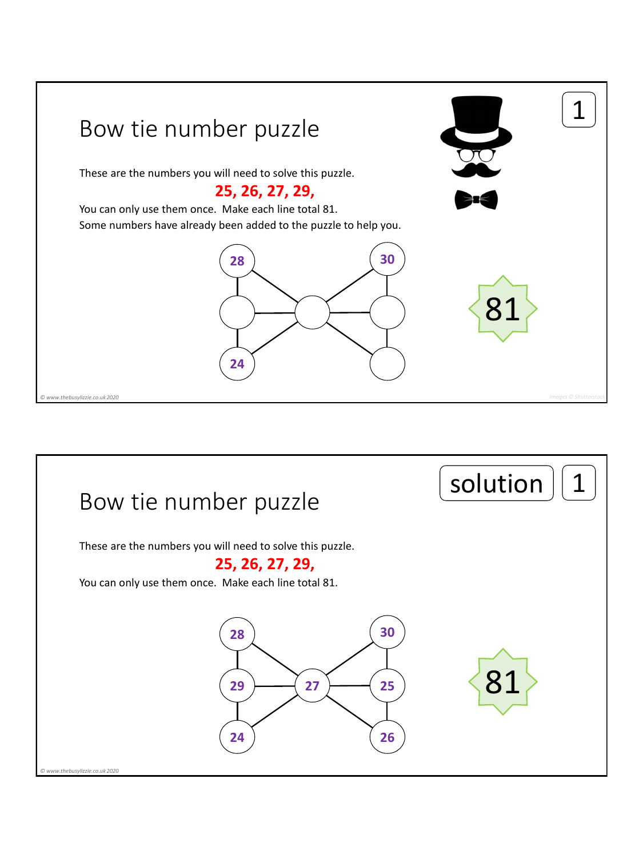